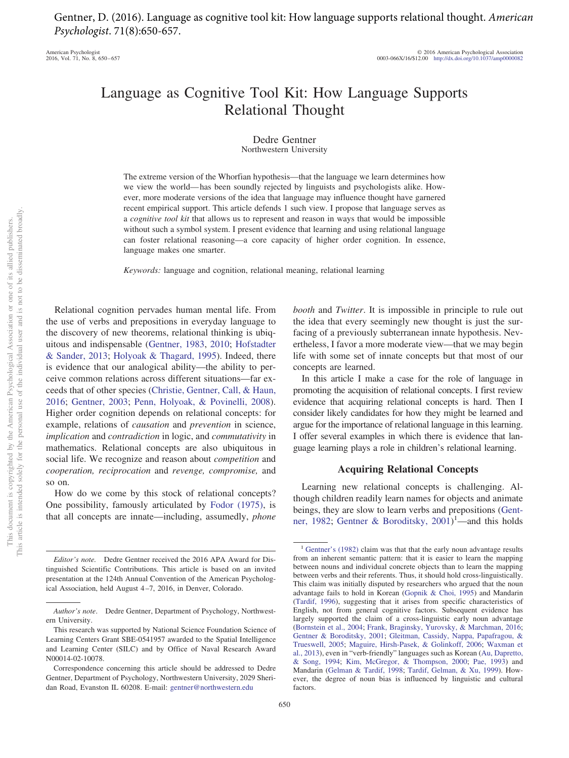# Language as Cognitive Tool Kit: How Language Supports Relational Thought

Dedre Gentner Northwestern University

The extreme version of the Whorfian hypothesis—that the language we learn determines how we view the world— has been soundly rejected by linguists and psychologists alike. However, more moderate versions of the idea that language may influence thought have garnered recent empirical support. This article defends 1 such view. I propose that language serves as a *cognitive tool kit* that allows us to represent and reason in ways that would be impossible without such a symbol system. I present evidence that learning and using relational language can foster relational reasoning—a core capacity of higher order cognition. In essence, language makes one smarter.

*Keywords:* language and cognition, relational meaning, relational learning

Relational cognition pervades human mental life. From the use of verbs and prepositions in everyday language to the discovery of new theorems, relational thinking is ubiquitous and indispensable [\(Gentner, 1983,](#page-5-0) [2010;](#page-6-0) [Hofstadter](#page-6-1) [& Sander, 2013;](#page-6-1) [Holyoak & Thagard, 1995\)](#page-6-2). Indeed, there is evidence that our analogical ability—the ability to perceive common relations across different situations—far exceeds that of other species [\(Christie, Gentner, Call, & Haun,](#page-5-1) [2016;](#page-5-1) [Gentner, 2003;](#page-6-3) [Penn, Holyoak, & Povinelli, 2008\)](#page-6-4). Higher order cognition depends on relational concepts: for example, relations of *causation* and *prevention* in science, *implication* and *contradiction* in logic, and *commutativity* in mathematics. Relational concepts are also ubiquitous in social life. We recognize and reason about *competition* and *cooperation, reciprocation* and *revenge, compromise,* and so on.

How do we come by this stock of relational concepts? One possibility, famously articulated by [Fodor \(1975\),](#page-5-2) is that all concepts are innate—including, assumedly, *phone*

*booth* and *Twitter*. It is impossible in principle to rule out the idea that every seemingly new thought is just the surfacing of a previously subterranean innate hypothesis. Nevertheless, I favor a more moderate view—that we may begin life with some set of innate concepts but that most of our concepts are learned.

In this article I make a case for the role of language in promoting the acquisition of relational concepts. I first review evidence that acquiring relational concepts is hard. Then I consider likely candidates for how they might be learned and argue for the importance of relational language in this learning. I offer several examples in which there is evidence that language learning plays a role in children's relational learning.

## **Acquiring Relational Concepts**

Learning new relational concepts is challenging. Although children readily learn names for objects and animate beings, they are slow to learn verbs and prepositions [\(Gent](#page-5-3)[ner, 1982;](#page-5-3) [Gentner & Boroditsky, 2001\)](#page-6-5)<sup>1</sup>—and this holds

*Editor's note.* Dedre Gentner received the 2016 APA Award for Distinguished Scientific Contributions. This article is based on an invited presentation at the 124th Annual Convention of the American Psychological Association, held August 4 –7, 2016, in Denver, Colorado.

*Author's note*. Dedre Gentner, Department of Psychology, Northwestern University.

This research was supported by National Science Foundation Science of Learning Centers Grant SBE-0541957 awarded to the Spatial Intelligence and Learning Center (SILC) and by Office of Naval Research Award N00014-02-10078.

Correspondence concerning this article should be addressed to Dedre Gentner, Department of Psychology, Northwestern University, 2029 Sheridan Road, Evanston IL 60208. E-mail: [gentner@northwestern.edu](mailto:gentner@northwestern.edu)

<sup>&</sup>lt;sup>1</sup> [Gentner's \(1982\)](#page-5-3) claim was that that the early noun advantage results from an inherent semantic pattern: that it is easier to learn the mapping between nouns and individual concrete objects than to learn the mapping between verbs and their referents. Thus, it should hold cross-linguistically. This claim was initially disputed by researchers who argued that the noun advantage fails to hold in Korean [\(Gopnik & Choi, 1995\)](#page-6-6) and Mandarin [\(Tardif, 1996\)](#page-7-0), suggesting that it arises from specific characteristics of English, not from general cognitive factors. Subsequent evidence has largely supported the claim of a cross-linguistic early noun advantage [\(Bornstein et al., 2004;](#page-5-4) [Frank, Braginsky, Yurovsky, & Marchman, 2016;](#page-5-5) [Gentner & Boroditsky, 2001;](#page-6-5) [Gleitman, Cassidy, Nappa, Papafragou, &](#page-6-7) [Trueswell, 2005;](#page-6-7) [Maguire, Hirsh-Pasek, & Golinkoff, 2006;](#page-6-8) [Waxman et](#page-7-1) [al., 2013\)](#page-7-1), even in "verb-friendly" languages such as Korean [\(Au, Dapretto,](#page-5-6) [& Song, 1994;](#page-5-6) [Kim, McGregor, & Thompson, 2000;](#page-6-9) [Pae, 1993\)](#page-6-10) and Mandarin [\(Gelman & Tardif, 1998;](#page-5-7) [Tardif, Gelman, & Xu, 1999\)](#page-7-2). However, the degree of noun bias is influenced by linguistic and cultural factors.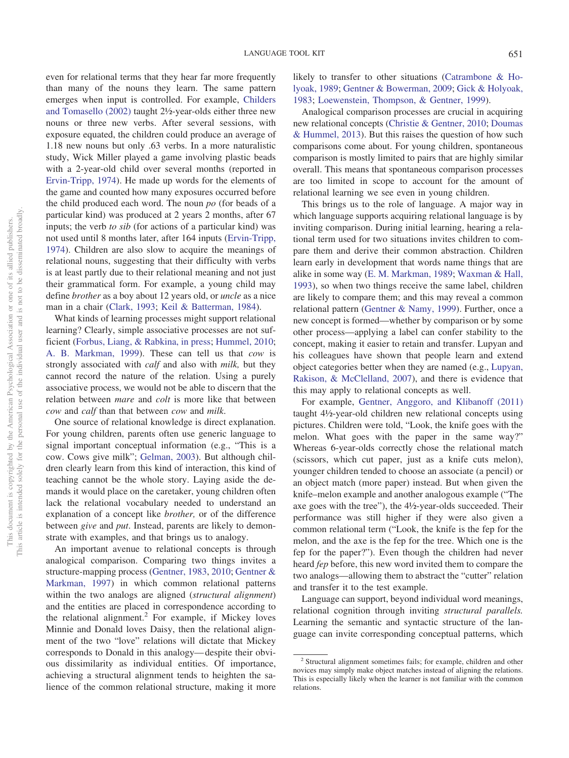even for relational terms that they hear far more frequently than many of the nouns they learn. The same pattern emerges when input is controlled. For example, [Childers](#page-5-8) [and Tomasello \(2002\)](#page-5-8) taught 2½-year-olds either three new nouns or three new verbs. After several sessions, with exposure equated, the children could produce an average of 1.18 new nouns but only .63 verbs. In a more naturalistic study, Wick Miller played a game involving plastic beads with a 2-year-old child over several months (reported in [Ervin-Tripp, 1974\)](#page-5-9). He made up words for the elements of the game and counted how many exposures occurred before the child produced each word. The noun *po* (for beads of a particular kind) was produced at 2 years 2 months, after 67 inputs; the verb *to sib* (for actions of a particular kind) was not used until 8 months later, after 164 inputs [\(Ervin-Tripp,](#page-5-9) [1974\)](#page-5-9). Children are also slow to acquire the meanings of relational nouns, suggesting that their difficulty with verbs is at least partly due to their relational meaning and not just their grammatical form. For example, a young child may define *brother* as a boy about 12 years old, or *uncle* as a nice man in a chair [\(Clark, 1993;](#page-5-10) [Keil & Batterman, 1984\)](#page-6-11).

What kinds of learning processes might support relational learning? Clearly, simple associative processes are not sufficient [\(Forbus, Liang, & Rabkina, in press;](#page-5-11) [Hummel, 2010;](#page-6-12) [A. B. Markman, 1999\)](#page-6-13). These can tell us that *cow* is strongly associated with *calf* and also with *milk,* but they cannot record the nature of the relation. Using a purely associative process, we would not be able to discern that the relation between *mare* and *colt* is more like that between *cow* and *calf* than that between *cow* and *milk*.

One source of relational knowledge is direct explanation. For young children, parents often use generic language to signal important conceptual information (e.g., "This is a cow. Cows give milk"; [Gelman, 2003\)](#page-5-12). But although children clearly learn from this kind of interaction, this kind of teaching cannot be the whole story. Laying aside the demands it would place on the caretaker, young children often lack the relational vocabulary needed to understand an explanation of a concept like *brother,* or of the difference between *give* and *put*. Instead, parents are likely to demonstrate with examples, and that brings us to analogy.

An important avenue to relational concepts is through analogical comparison. Comparing two things invites a structure-mapping process [\(Gentner, 1983,](#page-5-0) [2010;](#page-6-0) [Gentner &](#page-6-14) [Markman, 1997\)](#page-6-14) in which common relational patterns within the two analogs are aligned (*structural alignment*) and the entities are placed in correspondence according to the relational alignment.<sup>2</sup> For example, if Mickey loves Minnie and Donald loves Daisy, then the relational alignment of the two "love" relations will dictate that Mickey corresponds to Donald in this analogy— despite their obvious dissimilarity as individual entities. Of importance, achieving a structural alignment tends to heighten the salience of the common relational structure, making it more

likely to transfer to other situations [\(Catrambone & Ho](#page-5-13)[lyoak, 1989;](#page-5-13) [Gentner & Bowerman, 2009;](#page-6-15) [Gick & Holyoak,](#page-6-16) [1983;](#page-6-16) [Loewenstein, Thompson, & Gentner, 1999\)](#page-6-17).

Analogical comparison processes are crucial in acquiring new relational concepts [\(Christie & Gentner, 2010;](#page-5-14) [Doumas](#page-5-15) [& Hummel, 2013\)](#page-5-15). But this raises the question of how such comparisons come about. For young children, spontaneous comparison is mostly limited to pairs that are highly similar overall. This means that spontaneous comparison processes are too limited in scope to account for the amount of relational learning we see even in young children.

This brings us to the role of language. A major way in which language supports acquiring relational language is by inviting comparison. During initial learning, hearing a relational term used for two situations invites children to compare them and derive their common abstraction. Children learn early in development that words name things that are alike in some way [\(E. M. Markman, 1989;](#page-6-18) [Waxman & Hall,](#page-7-3) [1993\)](#page-7-3), so when two things receive the same label, children are likely to compare them; and this may reveal a common relational pattern [\(Gentner & Namy, 1999\)](#page-6-19). Further, once a new concept is formed—whether by comparison or by some other process—applying a label can confer stability to the concept, making it easier to retain and transfer. Lupyan and his colleagues have shown that people learn and extend object categories better when they are named (e.g., [Lupyan,](#page-6-20) [Rakison, & McClelland, 2007\)](#page-6-20), and there is evidence that this may apply to relational concepts as well.

For example, [Gentner, Anggoro, and Klibanoff \(2011\)](#page-6-21) taught 4½-year-old children new relational concepts using pictures. Children were told, "Look, the knife goes with the melon. What goes with the paper in the same way?" Whereas 6-year-olds correctly chose the relational match (scissors, which cut paper, just as a knife cuts melon), younger children tended to choose an associate (a pencil) or an object match (more paper) instead. But when given the knife–melon example and another analogous example ("The axe goes with the tree"), the 4½-year-olds succeeded. Their performance was still higher if they were also given a common relational term ("Look, the knife is the fep for the melon, and the axe is the fep for the tree. Which one is the fep for the paper?"). Even though the children had never heard *fep* before, this new word invited them to compare the two analogs—allowing them to abstract the "cutter" relation and transfer it to the test example.

Language can support, beyond individual word meanings, relational cognition through inviting *structural parallels.* Learning the semantic and syntactic structure of the language can invite corresponding conceptual patterns, which

<sup>&</sup>lt;sup>2</sup> Structural alignment sometimes fails; for example, children and other novices may simply make object matches instead of aligning the relations. This is especially likely when the learner is not familiar with the common relations.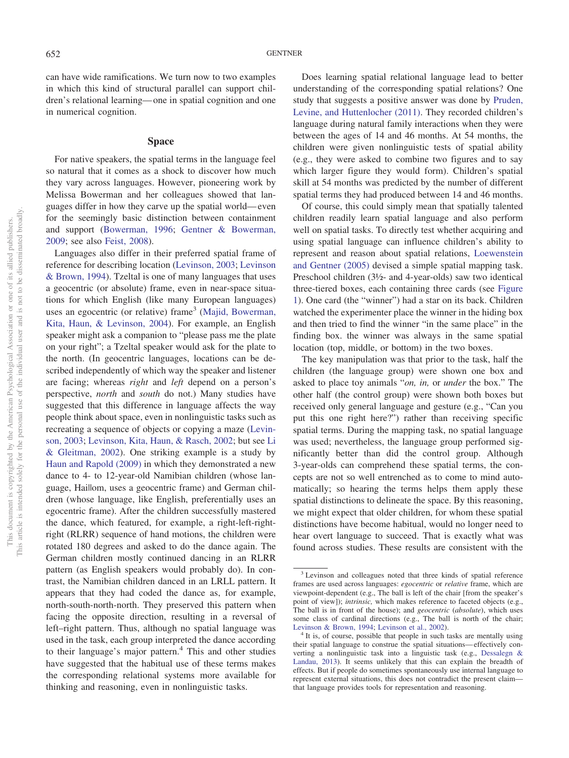can have wide ramifications. We turn now to two examples in which this kind of structural parallel can support children's relational learning— one in spatial cognition and one in numerical cognition.

# **Space**

For native speakers, the spatial terms in the language feel so natural that it comes as a shock to discover how much they vary across languages. However, pioneering work by Melissa Bowerman and her colleagues showed that languages differ in how they carve up the spatial world— even for the seemingly basic distinction between containment and support [\(Bowerman, 1996;](#page-5-16) [Gentner & Bowerman,](#page-6-15) [2009;](#page-6-15) see also [Feist, 2008\)](#page-5-17).

Languages also differ in their preferred spatial frame of reference for describing location [\(Levinson, 2003;](#page-6-22) [Levinson](#page-6-23) [& Brown, 1994\)](#page-6-23). Tzeltal is one of many languages that uses a geocentric (or absolute) frame, even in near-space situations for which English (like many European languages) uses an egocentric (or relative) frame<sup>3</sup> [\(Majid, Bowerman,](#page-6-24) [Kita, Haun, & Levinson, 2004\)](#page-6-24). For example, an English speaker might ask a companion to "please pass me the plate on your right"; a Tzeltal speaker would ask for the plate to the north. (In geocentric languages, locations can be described independently of which way the speaker and listener are facing; whereas *right* and *left* depend on a person's perspective, *north* and *south* do not.) Many studies have suggested that this difference in language affects the way people think about space, even in nonlinguistic tasks such as recreating a sequence of objects or copying a maze [\(Levin](#page-6-22)[son, 2003;](#page-6-22) [Levinson, Kita, Haun, & Rasch, 2002;](#page-6-25) but see [Li](#page-6-26) [& Gleitman, 2002\)](#page-6-26). One striking example is a study by [Haun and Rapold \(2009\)](#page-6-27) in which they demonstrated a new dance to 4- to 12-year-old Namibian children (whose language, Haillom, uses a geocentric frame) and German children (whose language, like English, preferentially uses an egocentric frame). After the children successfully mastered the dance, which featured, for example, a right-left-rightright (RLRR) sequence of hand motions, the children were rotated 180 degrees and asked to do the dance again. The German children mostly continued dancing in an RLRR pattern (as English speakers would probably do). In contrast, the Namibian children danced in an LRLL pattern. It appears that they had coded the dance as, for example, north-south-north-north. They preserved this pattern when facing the opposite direction, resulting in a reversal of left–right pattern. Thus, although no spatial language was used in the task, each group interpreted the dance according to their language's major pattern.<sup>4</sup> This and other studies have suggested that the habitual use of these terms makes the corresponding relational systems more available for thinking and reasoning, even in nonlinguistic tasks.

Does learning spatial relational language lead to better understanding of the corresponding spatial relations? One study that suggests a positive answer was done by [Pruden,](#page-6-28) [Levine, and Huttenlocher \(2011\).](#page-6-28) They recorded children's language during natural family interactions when they were between the ages of 14 and 46 months. At 54 months, the children were given nonlinguistic tests of spatial ability (e.g., they were asked to combine two figures and to say which larger figure they would form). Children's spatial skill at 54 months was predicted by the number of different spatial terms they had produced between 14 and 46 months.

Of course, this could simply mean that spatially talented children readily learn spatial language and also perform well on spatial tasks. To directly test whether acquiring and using spatial language can influence children's ability to represent and reason about spatial relations, [Loewenstein](#page-6-29) [and Gentner \(2005\)](#page-6-29) devised a simple spatial mapping task. Preschool children (3½- and 4-year-olds) saw two identical three-tiered boxes, each containing three cards (see [Figure](#page-3-0) [1\)](#page-3-0). One card (the "winner") had a star on its back. Children watched the experimenter place the winner in the hiding box and then tried to find the winner "in the same place" in the finding box. the winner was always in the same spatial location (top, middle, or bottom) in the two boxes.

The key manipulation was that prior to the task, half the children (the language group) were shown one box and asked to place toy animals "*on, in,* or *under* the box." The other half (the control group) were shown both boxes but received only general language and gesture (e.g., "Can you put this one right here?") rather than receiving specific spatial terms. During the mapping task, no spatial language was used; nevertheless, the language group performed significantly better than did the control group. Although 3-year-olds can comprehend these spatial terms, the concepts are not so well entrenched as to come to mind automatically; so hearing the terms helps them apply these spatial distinctions to delineate the space. By this reasoning, we might expect that older children, for whom these spatial distinctions have become habitual, would no longer need to hear overt language to succeed. That is exactly what was found across studies. These results are consistent with the

<sup>3</sup> Levinson and colleagues noted that three kinds of spatial reference frames are used across languages: *egocentric* or *relative* frame, which are viewpoint-dependent (e.g., The ball is left of the chair [from the speaker's point of view]); *intrinsic,* which makes reference to faceted objects (e.g., The ball is in front of the house); and *geocentric* (*absolute*), which uses some class of cardinal directions (e.g., The ball is north of the chair;

[Levinson & Brown, 1994;](#page-6-23) [Levinson et al., 2002\)](#page-6-25).<br><sup>4</sup> It is, of course, possible that people in such tasks are mentally using their spatial language to construe the spatial situations— effectively converting a nonlinguistic task into a linguistic task (e.g., [Dessalegn &](#page-5-18) [Landau, 2013\)](#page-5-18). It seems unlikely that this can explain the breadth of effects. But if people do sometimes spontaneously use internal language to represent external situations, this does not contradict the present claim that language provides tools for representation and reasoning.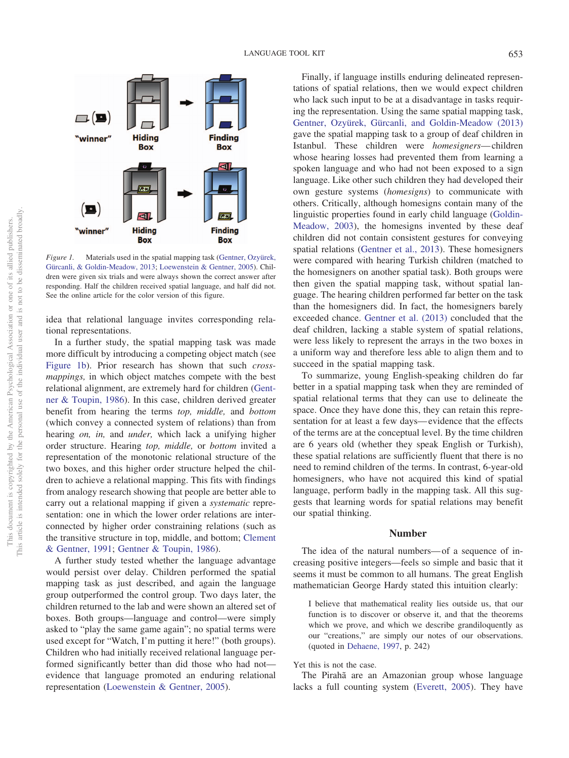

<span id="page-3-0"></span>*Figure 1.* Materials used in the spatial mapping task [\(Gentner, Ozyürek,](#page-6-31) [Gürcanli, & Goldin-Meadow, 2013;](#page-6-31) [Loewenstein & Gentner, 2005\)](#page-6-29). Children were given six trials and were always shown the correct answer after responding. Half the children received spatial language, and half did not. See the online article for the color version of this figure.

idea that relational language invites corresponding relational representations.

In a further study, the spatial mapping task was made more difficult by introducing a competing object match (see [Figure 1b\)](#page-3-0). Prior research has shown that such *crossmappings,* in which object matches compete with the best relational alignment, are extremely hard for children [\(Gent](#page-6-30)[ner & Toupin, 1986\)](#page-6-30). In this case, children derived greater benefit from hearing the terms *top, middle,* and *bottom* (which convey a connected system of relations) than from hearing *on, in,* and *under,* which lack a unifying higher order structure. Hearing *top, middle,* or *bottom* invited a representation of the monotonic relational structure of the two boxes, and this higher order structure helped the children to achieve a relational mapping. This fits with findings from analogy research showing that people are better able to carry out a relational mapping if given a *systematic* representation: one in which the lower order relations are interconnected by higher order constraining relations (such as the transitive structure in top, middle, and bottom; [Clement](#page-5-19) [& Gentner, 1991;](#page-5-19) [Gentner & Toupin, 1986\)](#page-6-30).

A further study tested whether the language advantage would persist over delay. Children performed the spatial mapping task as just described, and again the language group outperformed the control group. Two days later, the children returned to the lab and were shown an altered set of boxes. Both groups—language and control—were simply asked to "play the same game again"; no spatial terms were used except for "Watch, I'm putting it here!" (both groups). Children who had initially received relational language performed significantly better than did those who had not evidence that language promoted an enduring relational representation [\(Loewenstein & Gentner, 2005\)](#page-6-29).

Finally, if language instills enduring delineated representations of spatial relations, then we would expect children who lack such input to be at a disadvantage in tasks requiring the representation. Using the same spatial mapping task, [Gentner, Ozyürek, Gürcanli, and Goldin-Meadow \(2013\)](#page-6-31) gave the spatial mapping task to a group of deaf children in Istanbul. These children were *homesigners*— children whose hearing losses had prevented them from learning a spoken language and who had not been exposed to a sign language. Like other such children they had developed their own gesture systems (*homesigns*) to communicate with others. Critically, although homesigns contain many of the linguistic properties found in early child language [\(Goldin-](#page-6-32)[Meadow, 2003\)](#page-6-32), the homesigns invented by these deaf children did not contain consistent gestures for conveying spatial relations [\(Gentner et al., 2013\)](#page-6-31). These homesigners were compared with hearing Turkish children (matched to the homesigners on another spatial task). Both groups were then given the spatial mapping task, without spatial language. The hearing children performed far better on the task than the homesigners did. In fact, the homesigners barely exceeded chance. [Gentner et al. \(2013\)](#page-6-31) concluded that the deaf children, lacking a stable system of spatial relations, were less likely to represent the arrays in the two boxes in a uniform way and therefore less able to align them and to succeed in the spatial mapping task.

To summarize, young English-speaking children do far better in a spatial mapping task when they are reminded of spatial relational terms that they can use to delineate the space. Once they have done this, they can retain this representation for at least a few days— evidence that the effects of the terms are at the conceptual level. By the time children are 6 years old (whether they speak English or Turkish), these spatial relations are sufficiently fluent that there is no need to remind children of the terms. In contrast, 6-year-old homesigners, who have not acquired this kind of spatial language, perform badly in the mapping task. All this suggests that learning words for spatial relations may benefit our spatial thinking.

### **Number**

The idea of the natural numbers— of a sequence of increasing positive integers—feels so simple and basic that it seems it must be common to all humans. The great English mathematician George Hardy stated this intuition clearly:

I believe that mathematical reality lies outside us, that our function is to discover or observe it, and that the theorems which we prove, and which we describe grandiloquently as our "creations," are simply our notes of our observations. (quoted in [Dehaene, 1997,](#page-5-20) p. 242)

#### Yet this is not the case.

The Pirahã are an Amazonian group whose language lacks a full counting system [\(Everett, 2005\)](#page-5-21). They have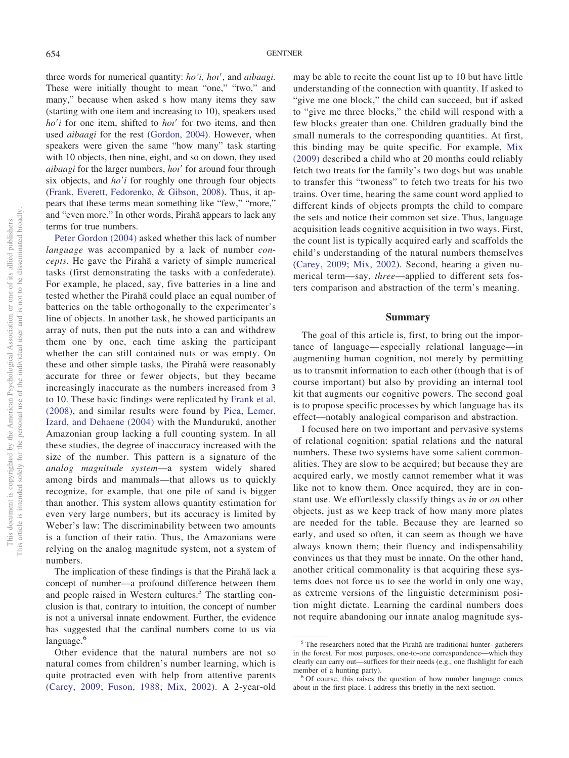three words for numerical quantity: *ho'i, hot'*, and *aibaagi.* These were initially thought to mean "one," "two," and many," because when asked s how many items they saw (starting with one item and increasing to 10), speakers used *ho'i* for one item, shifted to *hoi'* for two items, and then used *aibaagi* for the rest [\(Gordon, 2004\)](#page-6-33). However, when speakers were given the same "how many" task starting with 10 objects, then nine, eight, and so on down, they used *aibaagi* for the larger numbers, *hoı*= for around four through six objects, and *ho'i* for roughly one through four objects [\(Frank, Everett, Fedorenko, & Gibson, 2008\)](#page-5-22). Thus, it appears that these terms mean something like "few," "more," and "even more." In other words, Pirahã appears to lack any terms for true numbers.

[Peter Gordon \(2004\)](#page-6-33) asked whether this lack of number *language* was accompanied by a lack of number *concepts*. He gave the Pirahã a variety of simple numerical tasks (first demonstrating the tasks with a confederate). For example, he placed, say, five batteries in a line and tested whether the Pirahã could place an equal number of batteries on the table orthogonally to the experimenter's line of objects. In another task, he showed participants an array of nuts, then put the nuts into a can and withdrew them one by one, each time asking the participant whether the can still contained nuts or was empty. On these and other simple tasks, the Pirahã were reasonably accurate for three or fewer objects, but they became increasingly inaccurate as the numbers increased from 3 to 10. These basic findings were replicated by [Frank et al.](#page-5-22) [\(2008\),](#page-5-22) and similar results were found by [Pica, Lemer,](#page-6-34) [Izard, and Dehaene \(2004\)](#page-6-34) with the Mundurukú, another Amazonian group lacking a full counting system. In all these studies, the degree of inaccuracy increased with the size of the number. This pattern is a signature of the *analog magnitude system*—a system widely shared among birds and mammals—that allows us to quickly recognize, for example, that one pile of sand is bigger than another. This system allows quantity estimation for even very large numbers, but its accuracy is limited by Weber's law: The discriminability between two amounts is a function of their ratio. Thus, the Amazonians were relying on the analog magnitude system, not a system of numbers.

The implication of these findings is that the Pirahã lack a concept of number—a profound difference between them and people raised in Western cultures.<sup>5</sup> The startling conclusion is that, contrary to intuition, the concept of number is not a universal innate endowment. Further, the evidence has suggested that the cardinal numbers come to us via language.<sup>6</sup>

Other evidence that the natural numbers are not so natural comes from children's number learning, which is quite protracted even with help from attentive parents [\(Carey, 2009;](#page-5-23) [Fuson, 1988;](#page-5-24) [Mix, 2002\)](#page-6-35). A 2-year-old

may be able to recite the count list up to 10 but have little understanding of the connection with quantity. If asked to "give me one block," the child can succeed, but if asked to "give me three blocks," the child will respond with a few blocks greater than one. Children gradually bind the small numerals to the corresponding quantities. At first, this binding may be quite specific. For example, [Mix](#page-6-36) [\(2009\)](#page-6-36) described a child who at 20 months could reliably fetch two treats for the family's two dogs but was unable to transfer this "twoness" to fetch two treats for his two trains. Over time, hearing the same count word applied to different kinds of objects prompts the child to compare the sets and notice their common set size. Thus, language acquisition leads cognitive acquisition in two ways. First, the count list is typically acquired early and scaffolds the child's understanding of the natural numbers themselves [\(Carey, 2009;](#page-5-23) [Mix, 2002\)](#page-6-35). Second, hearing a given numerical term—say, *three*—applied to different sets fosters comparison and abstraction of the term's meaning.

### **Summary**

The goal of this article is, first, to bring out the importance of language— especially relational language—in augmenting human cognition, not merely by permitting us to transmit information to each other (though that is of course important) but also by providing an internal tool kit that augments our cognitive powers. The second goal is to propose specific processes by which language has its effect—notably analogical comparison and abstraction.

I focused here on two important and pervasive systems of relational cognition: spatial relations and the natural numbers. These two systems have some salient commonalities. They are slow to be acquired; but because they are acquired early, we mostly cannot remember what it was like not to know them. Once acquired, they are in constant use. We effortlessly classify things as *in* or *on* other objects, just as we keep track of how many more plates are needed for the table. Because they are learned so early, and used so often, it can seem as though we have always known them; their fluency and indispensability convinces us that they must be innate. On the other hand, another critical commonality is that acquiring these systems does not force us to see the world in only one way, as extreme versions of the linguistic determinism position might dictate. Learning the cardinal numbers does not require abandoning our innate analog magnitude sys-

<sup>5</sup> The researchers noted that the Pirahã are traditional hunter– gatherers in the forest. For most purposes, one-to-one correspondence—which they clearly can carry out—suffices for their needs (e.g., one flashlight for each member of a hunting party).<br><sup>6</sup> Of course, this raises the question of how number language comes

about in the first place. I address this briefly in the next section.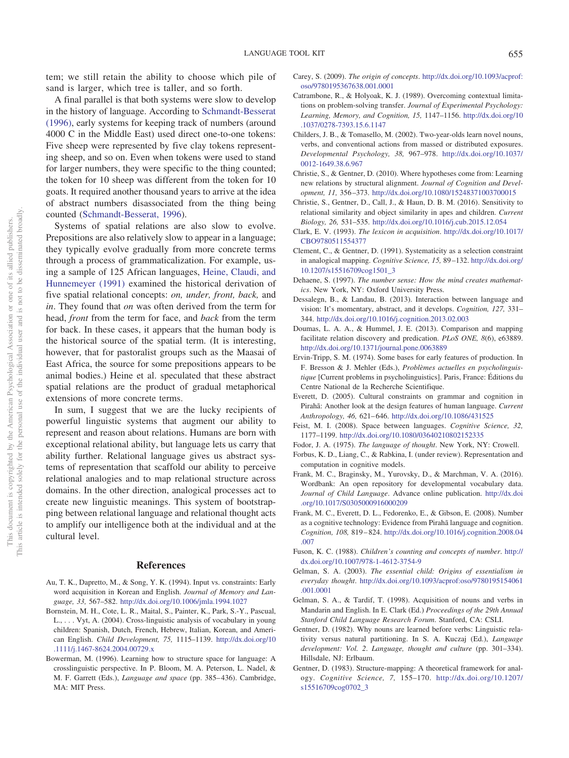tem; we still retain the ability to choose which pile of sand is larger, which tree is taller, and so forth.

A final parallel is that both systems were slow to develop in the history of language. According to [Schmandt-Besserat](#page-6-37) [\(1996\),](#page-6-37) early systems for keeping track of numbers (around 4000 C in the Middle East) used direct one-to-one tokens: Five sheep were represented by five clay tokens representing sheep, and so on. Even when tokens were used to stand for larger numbers, they were specific to the thing counted; the token for 10 sheep was different from the token for 10 goats. It required another thousand years to arrive at the idea of abstract numbers disassociated from the thing being counted [\(Schmandt-Besserat, 1996\)](#page-6-37).

Systems of spatial relations are also slow to evolve. Prepositions are also relatively slow to appear in a language; they typically evolve gradually from more concrete terms through a process of grammaticalization. For example, using a sample of 125 African languages, [Heine, Claudi, and](#page-6-38) [Hunnemeyer \(1991\)](#page-6-38) examined the historical derivation of five spatial relational concepts: *on, under, front, back,* and *in*. They found that *on* was often derived from the term for head, *front* from the term for face, and *back* from the term for back. In these cases, it appears that the human body is the historical source of the spatial term. (It is interesting, however, that for pastoralist groups such as the Maasai of East Africa, the source for some prepositions appears to be animal bodies.) Heine et al. speculated that these abstract spatial relations are the product of gradual metaphorical extensions of more concrete terms.

In sum, I suggest that we are the lucky recipients of powerful linguistic systems that augment our ability to represent and reason about relations. Humans are born with exceptional relational ability, but language lets us carry that ability further. Relational language gives us abstract systems of representation that scaffold our ability to perceive relational analogies and to map relational structure across domains. In the other direction, analogical processes act to create new linguistic meanings. This system of bootstrapping between relational language and relational thought acts to amplify our intelligence both at the individual and at the cultural level.

#### **References**

- <span id="page-5-6"></span>Au, T. K., Dapretto, M., & Song, Y. K. (1994). Input vs. constraints: Early word acquisition in Korean and English. *Journal of Memory and Language, 33,* 567–582. <http://dx.doi.org/10.1006/jmla.1994.1027>
- <span id="page-5-4"></span>Bornstein, M. H., Cote, L. R., Maital, S., Painter, K., Park, S.-Y., Pascual, L., . . . Vyt, A. (2004). Cross-linguistic analysis of vocabulary in young children: Spanish, Dutch, French, Hebrew, Italian, Korean, and American English. *Child Development, 75,* 1115–1139. [http://dx.doi.org/10](http://dx.doi.org/10.1111/j.1467-8624.2004.00729.x) [.1111/j.1467-8624.2004.00729.x](http://dx.doi.org/10.1111/j.1467-8624.2004.00729.x)
- <span id="page-5-16"></span>Bowerman, M. (1996). Learning how to structure space for language: A crosslinguistic perspective. In P. Bloom, M. A. Peterson, L. Nadel, & M. F. Garrett (Eds.), *Language and space* (pp. 385– 436). Cambridge, MA: MIT Press.
- <span id="page-5-23"></span>Carey, S. (2009). *The origin of concepts*. [http://dx.doi.org/10.1093/acprof:](http://dx.doi.org/10.1093/acprof:oso/9780195367638.001.0001) [oso/9780195367638.001.0001](http://dx.doi.org/10.1093/acprof:oso/9780195367638.001.0001)
- <span id="page-5-13"></span>Catrambone, R., & Holyoak, K. J. (1989). Overcoming contextual limitations on problem-solving transfer. *Journal of Experimental Psychology: Learning, Memory, and Cognition, 15,* 1147–1156. [http://dx.doi.org/10](http://dx.doi.org/10.1037/0278-7393.15.6.1147) [.1037/0278-7393.15.6.1147](http://dx.doi.org/10.1037/0278-7393.15.6.1147)
- <span id="page-5-8"></span>Childers, J. B., & Tomasello, M. (2002). Two-year-olds learn novel nouns, verbs, and conventional actions from massed or distributed exposures. *Developmental Psychology, 38,* 967–978. [http://dx.doi.org/10.1037/](http://dx.doi.org/10.1037/0012-1649.38.6.967) [0012-1649.38.6.967](http://dx.doi.org/10.1037/0012-1649.38.6.967)
- <span id="page-5-14"></span>Christie, S., & Gentner, D. (2010). Where hypotheses come from: Learning new relations by structural alignment. *Journal of Cognition and Development, 11,* 356 –373. <http://dx.doi.org/10.1080/15248371003700015>
- <span id="page-5-1"></span>Christie, S., Gentner, D., Call, J., & Haun, D. B. M. (2016). Sensitivity to relational similarity and object similarity in apes and children. *Current Biology, 26,* 531–535. <http://dx.doi.org/10.1016/j.cub.2015.12.054>
- <span id="page-5-10"></span>Clark, E. V. (1993). *The lexicon in acquisition*. [http://dx.doi.org/10.1017/](http://dx.doi.org/10.1017/CBO9780511554377) [CBO9780511554377](http://dx.doi.org/10.1017/CBO9780511554377)
- <span id="page-5-19"></span>Clement, C., & Gentner, D. (1991). Systematicity as a selection constraint in analogical mapping. *Cognitive Science, 15,* 89 –132. [http://dx.doi.org/](http://dx.doi.org/10.1207/s15516709cog1501_3) [10.1207/s15516709cog1501\\_3](http://dx.doi.org/10.1207/s15516709cog1501_3)
- <span id="page-5-20"></span>Dehaene, S. (1997). *The number sense: How the mind creates mathematics*. New York, NY: Oxford University Press.
- <span id="page-5-18"></span>Dessalegn, B., & Landau, B. (2013). Interaction between language and vision: It's momentary, abstract, and it develops. *Cognition, 127,* 331– 344. <http://dx.doi.org/10.1016/j.cognition.2013.02.003>
- <span id="page-5-15"></span>Doumas, L. A. A., & Hummel, J. E. (2013). Comparison and mapping facilitate relation discovery and predication. *PLoS ONE, 8*(6), e63889. <http://dx.doi.org/10.1371/journal.pone.0063889>
- <span id="page-5-9"></span>Ervin-Tripp, S. M. (1974). Some bases for early features of production. In F. Bresson & J. Mehler (Eds.), *Problèmes actuelles en psycholinguistique* [Current problems in psycholinguistics]. Paris, France: Éditions du Centre National de la Recherche Scientifique.
- <span id="page-5-21"></span>Everett, D. (2005). Cultural constraints on grammar and cognition in Pirahã: Another look at the design features of human language. *Current Anthropology, 46,* 621– 646. <http://dx.doi.org/10.1086/431525>
- <span id="page-5-17"></span>Feist, M. I. (2008). Space between languages. *Cognitive Science, 32,* 1177–1199. <http://dx.doi.org/10.1080/03640210802152335>
- <span id="page-5-2"></span>Fodor, J. A. (1975). *The language of thought*. New York, NY: Crowell.
- <span id="page-5-11"></span>Forbus, K. D., Liang, C., & Rabkina, I. (under review). Representation and computation in cognitive models.
- <span id="page-5-5"></span>Frank, M. C., Braginsky, M., Yurovsky, D., & Marchman, V. A. (2016). Wordbank: An open repository for developmental vocabulary data. *Journal of Child Language*. Advance online publication. [http://dx.doi](http://dx.doi.org/10.1017/S0305000916000209) [.org/10.1017/S0305000916000209](http://dx.doi.org/10.1017/S0305000916000209)
- <span id="page-5-22"></span>Frank, M. C., Everett, D. L., Fedorenko, E., & Gibson, E. (2008). Number as a cognitive technology: Evidence from Pirahã language and cognition. *Cognition, 108,* 819 – 824. [http://dx.doi.org/10.1016/j.cognition.2008.04](http://dx.doi.org/10.1016/j.cognition.2008.04.007) [.007](http://dx.doi.org/10.1016/j.cognition.2008.04.007)
- <span id="page-5-24"></span>Fuson, K. C. (1988). *Children's counting and concepts of number*. [http://](http://dx.doi.org/10.1007/978-1-4612-3754-9) [dx.doi.org/10.1007/978-1-4612-3754-9](http://dx.doi.org/10.1007/978-1-4612-3754-9)
- <span id="page-5-12"></span>Gelman, S. A. (2003). *The essential child: Origins of essentialism in everyday thought*. [http://dx.doi.org/10.1093/acprof:oso/9780195154061](http://dx.doi.org/10.1093/acprof:oso/9780195154061.001.0001) [.001.0001](http://dx.doi.org/10.1093/acprof:oso/9780195154061.001.0001)
- <span id="page-5-7"></span>Gelman, S. A., & Tardif, T. (1998). Acquisition of nouns and verbs in Mandarin and English. In E. Clark (Ed.) *Proceedings of the 29th Annual Stanford Child Language Research Forum*. Stanford, CA: CSLI.
- <span id="page-5-3"></span>Gentner, D. (1982). Why nouns are learned before verbs: Linguistic relativity versus natural partitioning. In S. A. Kuczaj (Ed.), *Language development: Vol. 2*. *Language, thought and culture* (pp. 301–334). Hillsdale, NJ: Erlbaum.
- <span id="page-5-0"></span>Gentner, D. (1983). Structure-mapping: A theoretical framework for analogy. *Cognitive Science, 7,* 155–170. [http://dx.doi.org/10.1207/](http://dx.doi.org/10.1207/s15516709cog0702_3) [s15516709cog0702\\_3](http://dx.doi.org/10.1207/s15516709cog0702_3)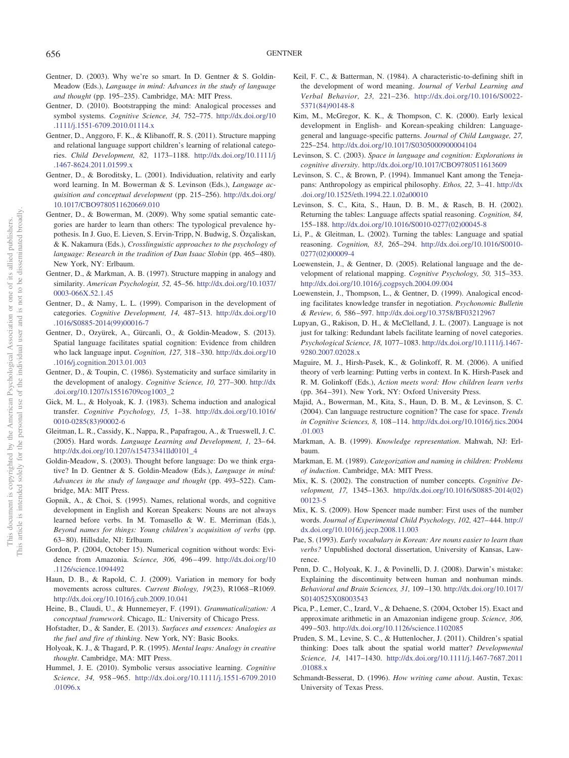- <span id="page-6-3"></span>Gentner, D. (2003). Why we're so smart. In D. Gentner & S. Goldin-Meadow (Eds.), *Language in mind: Advances in the study of language and thought* (pp. 195–235). Cambridge, MA: MIT Press.
- <span id="page-6-0"></span>Gentner, D. (2010). Bootstrapping the mind: Analogical processes and symbol systems. *Cognitive Science, 34,* 752–775. [http://dx.doi.org/10](http://dx.doi.org/10.1111/j.1551-6709.2010.01114.x) [.1111/j.1551-6709.2010.01114.x](http://dx.doi.org/10.1111/j.1551-6709.2010.01114.x)
- <span id="page-6-21"></span>Gentner, D., Anggoro, F. K., & Klibanoff, R. S. (2011). Structure mapping and relational language support children's learning of relational categories. *Child Development, 82,* 1173–1188. [http://dx.doi.org/10.1111/j](http://dx.doi.org/10.1111/j.1467-8624.2011.01599.x) [.1467-8624.2011.01599.x](http://dx.doi.org/10.1111/j.1467-8624.2011.01599.x)
- <span id="page-6-5"></span>Gentner, D., & Boroditsky, L. (2001). Individuation, relativity and early word learning. In M. Bowerman & S. Levinson (Eds.), *Language acquisition and conceptual development* (pp. 215–256). [http://dx.doi.org/](http://dx.doi.org/10.1017/CBO9780511620669.010) [10.1017/CBO9780511620669.010](http://dx.doi.org/10.1017/CBO9780511620669.010)
- <span id="page-6-15"></span>Gentner, D., & Bowerman, M. (2009). Why some spatial semantic categories are harder to learn than others: The typological prevalence hypothesis. In J. Guo, E. Lieven, S. Ervin-Tripp, N. Budwig, S. Özçaliskan, & K. Nakamura (Eds.), *Crosslinguistic approaches to the psychology of language: Research in the tradition of Dan Isaac Slobin* (pp. 465–480). New York, NY: Erlbaum.
- <span id="page-6-14"></span>Gentner, D., & Markman, A. B. (1997). Structure mapping in analogy and similarity. *American Psychologist, 52,* 45–56. [http://dx.doi.org/10.1037/](http://dx.doi.org/10.1037/0003-066X.52.1.45) [0003-066X.52.1.45](http://dx.doi.org/10.1037/0003-066X.52.1.45)
- <span id="page-6-19"></span>Gentner, D., & Namy, L. L. (1999). Comparison in the development of categories. *Cognitive Development, 14,* 487–513. [http://dx.doi.org/10](http://dx.doi.org/10.1016/S0885-2014%2899%2900016-7) [.1016/S0885-2014\(99\)00016-7](http://dx.doi.org/10.1016/S0885-2014%2899%2900016-7)
- <span id="page-6-31"></span>Gentner, D., Ozyürek, A., Gürcanli, O., & Goldin-Meadow, S. (2013). Spatial language facilitates spatial cognition: Evidence from children who lack language input. *Cognition, 127,* 318 –330. [http://dx.doi.org/10](http://dx.doi.org/10.1016/j.cognition.2013.01.003) [.1016/j.cognition.2013.01.003](http://dx.doi.org/10.1016/j.cognition.2013.01.003)
- <span id="page-6-30"></span>Gentner, D., & Toupin, C. (1986). Systematicity and surface similarity in the development of analogy. *Cognitive Science, 10,* 277–300. [http://dx](http://dx.doi.org/10.1207/s15516709cog1003_2) [.doi.org/10.1207/s15516709cog1003\\_2](http://dx.doi.org/10.1207/s15516709cog1003_2)
- <span id="page-6-16"></span>Gick, M. L., & Holyoak, K. J. (1983). Schema induction and analogical transfer. *Cognitive Psychology, 15,* 1–38. [http://dx.doi.org/10.1016/](http://dx.doi.org/10.1016/0010-0285%2883%2990002-6) [0010-0285\(83\)90002-6](http://dx.doi.org/10.1016/0010-0285%2883%2990002-6)
- <span id="page-6-7"></span>Gleitman, L. R., Cassidy, K., Nappa, R., Papafragou, A., & Trueswell, J. C. (2005). Hard words. *Language Learning and Development, 1,* 23– 64. [http://dx.doi.org/10.1207/s15473341lld0101\\_4](http://dx.doi.org/10.1207/s15473341lld0101_4)
- <span id="page-6-32"></span>Goldin-Meadow, S. (2003). Thought before language: Do we think ergative? In D. Gentner & S. Goldin-Meadow (Eds.), *Language in mind: Advances in the study of language and thought* (pp. 493–522). Cambridge, MA: MIT Press.
- <span id="page-6-6"></span>Gopnik, A., & Choi, S. (1995). Names, relational words, and cognitive development in English and Korean Speakers: Nouns are not always learned before verbs. In M. Tomasello & W. E. Merriman (Eds.), *Beyond names for things: Young children's acquisition of verbs* (pp. 63– 80). Hillsdale, NJ: Erlbaum.
- <span id="page-6-33"></span>Gordon, P. (2004, October 15). Numerical cognition without words: Evidence from Amazonia. *Science, 306, 496-499*. [http://dx.doi.org/10](http://dx.doi.org/10.1126/science.1094492) [.1126/science.1094492](http://dx.doi.org/10.1126/science.1094492)
- <span id="page-6-27"></span>Haun, D. B., & Rapold, C. J. (2009). Variation in memory for body movements across cultures. *Current Biology, 19*(23), R1068 –R1069. <http://dx.doi.org/10.1016/j.cub.2009.10.041>
- <span id="page-6-38"></span>Heine, B., Claudi, U., & Hunnemeyer, F. (1991). *Grammaticalization: A conceptual framework*. Chicago, IL: University of Chicago Press.
- <span id="page-6-1"></span>Hofstadter, D., & Sander, E. (2013). *Surfaces and essences: Analogies as the fuel and fire of thinking*. New York, NY: Basic Books.
- <span id="page-6-2"></span>Holyoak, K. J., & Thagard, P. R. (1995). *Mental leaps: Analogy in creative thought*. Cambridge, MA: MIT Press.
- <span id="page-6-12"></span>Hummel, J. E. (2010). Symbolic versus associative learning. *Cognitive Science, 34,* 958 –965. [http://dx.doi.org/10.1111/j.1551-6709.2010](http://dx.doi.org/10.1111/j.1551-6709.2010.01096.x) [.01096.x](http://dx.doi.org/10.1111/j.1551-6709.2010.01096.x)
- <span id="page-6-11"></span>Keil, F. C., & Batterman, N. (1984). A characteristic-to-defining shift in the development of word meaning. *Journal of Verbal Learning and Verbal Behavior, 23,* 221–236. [http://dx.doi.org/10.1016/S0022-](http://dx.doi.org/10.1016/S0022-5371%2884%2990148-8) [5371\(84\)90148-8](http://dx.doi.org/10.1016/S0022-5371%2884%2990148-8)
- <span id="page-6-9"></span>Kim, M., McGregor, K. K., & Thompson, C. K. (2000). Early lexical development in English- and Korean-speaking children: Languagegeneral and language-specific patterns. *Journal of Child Language, 27,* 225–254. <http://dx.doi.org/10.1017/S0305000900004104>
- <span id="page-6-22"></span>Levinson, S. C. (2003). *Space in language and cognition: Explorations in cognitive diversity*. <http://dx.doi.org/10.1017/CBO9780511613609>
- <span id="page-6-23"></span>Levinson, S. C., & Brown, P. (1994). Immanuel Kant among the Tenejapans: Anthropology as empirical philosophy. *Ethos, 22,* 3– 41. [http://dx](http://dx.doi.org/10.1525/eth.1994.22.1.02a00010) [.doi.org/10.1525/eth.1994.22.1.02a00010](http://dx.doi.org/10.1525/eth.1994.22.1.02a00010)
- <span id="page-6-25"></span>Levinson, S. C., Kita, S., Haun, D. B. M., & Rasch, B. H. (2002). Returning the tables: Language affects spatial reasoning. *Cognition, 84,* 155–188. [http://dx.doi.org/10.1016/S0010-0277\(02\)00045-8](http://dx.doi.org/10.1016/S0010-0277%2802%2900045-8)
- <span id="page-6-26"></span>Li, P., & Gleitman, L. (2002). Turning the tables: Language and spatial reasoning. *Cognition, 83,* 265–294. [http://dx.doi.org/10.1016/S0010-](http://dx.doi.org/10.1016/S0010-0277%2802%2900009-4) [0277\(02\)00009-4](http://dx.doi.org/10.1016/S0010-0277%2802%2900009-4)
- <span id="page-6-29"></span>Loewenstein, J., & Gentner, D. (2005). Relational language and the development of relational mapping. *Cognitive Psychology, 50,* 315–353. <http://dx.doi.org/10.1016/j.cogpsych.2004.09.004>
- <span id="page-6-17"></span>Loewenstein, J., Thompson, L., & Gentner, D. (1999). Analogical encoding facilitates knowledge transfer in negotiation. *Psychonomic Bulletin & Review, 6,* 586 –597. <http://dx.doi.org/10.3758/BF03212967>
- <span id="page-6-20"></span>Lupyan, G., Rakison, D. H., & McClelland, J. L. (2007). Language is not just for talking: Redundant labels facilitate learning of novel categories. *Psychological Science, 18,* 1077–1083. [http://dx.doi.org/10.1111/j.1467-](http://dx.doi.org/10.1111/j.1467-9280.2007.02028.x) [9280.2007.02028.x](http://dx.doi.org/10.1111/j.1467-9280.2007.02028.x)
- <span id="page-6-8"></span>Maguire, M. J., Hirsh-Pasek, K., & Golinkoff, R. M. (2006). A unified theory of verb learning: Putting verbs in context. In K. Hirsh-Pasek and R. M. Golinkoff (Eds.), *Action meets word: How children learn verbs* (pp. 364 –391). New York, NY: Oxford University Press.
- <span id="page-6-24"></span>Majid, A., Bowerman, M., Kita, S., Haun, D. B. M., & Levinson, S. C. (2004). Can language restructure cognition? The case for space. *Trends in Cognitive Sciences, 8,* 108 –114. [http://dx.doi.org/10.1016/j.tics.2004](http://dx.doi.org/10.1016/j.tics.2004.01.003) [.01.003](http://dx.doi.org/10.1016/j.tics.2004.01.003)
- <span id="page-6-13"></span>Markman, A. B. (1999). *Knowledge representation*. Mahwah, NJ: Erlbaum.
- <span id="page-6-18"></span>Markman, E. M. (1989). *Categorization and naming in children: Problems of induction*. Cambridge, MA: MIT Press.
- <span id="page-6-35"></span>Mix, K. S. (2002). The construction of number concepts. *Cognitive Development, 17,* 1345–1363. [http://dx.doi.org/10.1016/S0885-2014\(02\)](http://dx.doi.org/10.1016/S0885-2014%2802%2900123-5) [00123-5](http://dx.doi.org/10.1016/S0885-2014%2802%2900123-5)
- <span id="page-6-36"></span>Mix, K. S. (2009). How Spencer made number: First uses of the number words. *Journal of Experimental Child Psychology, 102,* 427– 444. [http://](http://dx.doi.org/10.1016/j.jecp.2008.11.003) [dx.doi.org/10.1016/j.jecp.2008.11.003](http://dx.doi.org/10.1016/j.jecp.2008.11.003)
- <span id="page-6-10"></span>Pae, S. (1993). *Early vocabulary in Korean: Are nouns easier to learn than verbs?* Unpublished doctoral dissertation, University of Kansas, Lawrence.
- <span id="page-6-4"></span>Penn, D. C., Holyoak, K. J., & Povinelli, D. J. (2008). Darwin's mistake: Explaining the discontinuity between human and nonhuman minds. *Behavioral and Brain Sciences, 31,* 109 –130. [http://dx.doi.org/10.1017/](http://dx.doi.org/10.1017/S0140525X08003543) [S0140525X08003543](http://dx.doi.org/10.1017/S0140525X08003543)
- <span id="page-6-34"></span>Pica, P., Lemer, C., Izard, V., & Dehaene, S. (2004, October 15). Exact and approximate arithmetic in an Amazonian indigene group. *Science, 306,* 499 –503. <http://dx.doi.org/10.1126/science.1102085>
- <span id="page-6-28"></span>Pruden, S. M., Levine, S. C., & Huttenlocher, J. (2011). Children's spatial thinking: Does talk about the spatial world matter? *Developmental Science, 14,* 1417–1430. [http://dx.doi.org/10.1111/j.1467-7687.2011](http://dx.doi.org/10.1111/j.1467-7687.2011.01088.x) [.01088.x](http://dx.doi.org/10.1111/j.1467-7687.2011.01088.x)
- <span id="page-6-37"></span>Schmandt-Besserat, D. (1996). *How writing came about*. Austin, Texas: University of Texas Press.